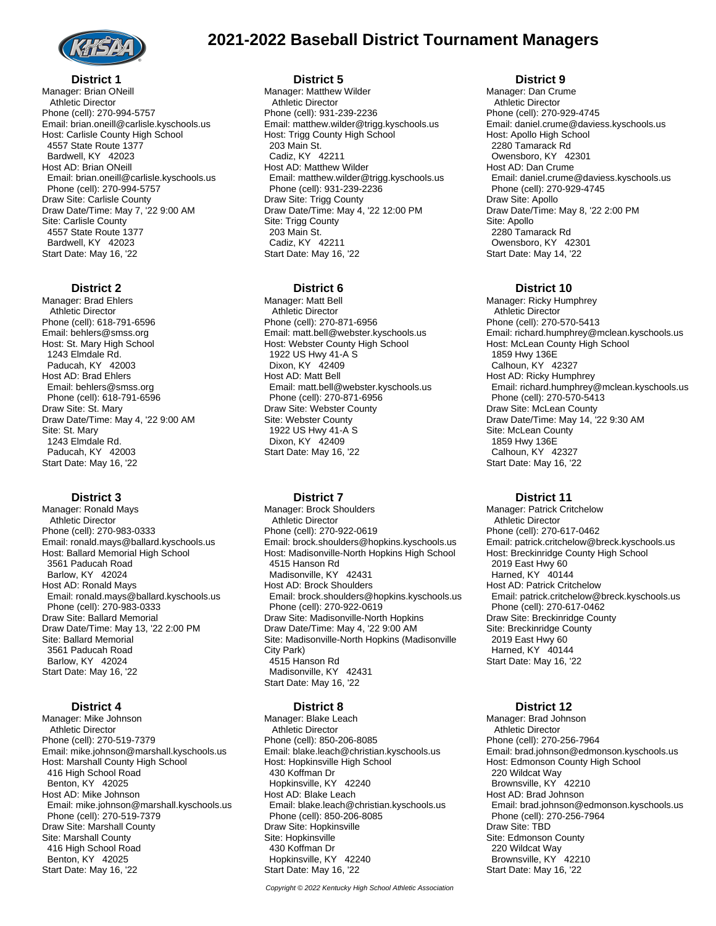

# **2021-2022 Baseball District Tournament Managers**

## **District 1**

Manager: Brian ONeill Athletic Director Phone (cell): 270-994-5757 Email: brian.oneill@carlisle.kyschools.us Host: Carlisle County High School 4557 State Route 1377 Bardwell, KY 42023 Host AD: Brian ONeill Email: brian.oneill@carlisle.kyschools.us Phone (cell): 270-994-5757 Draw Site: Carlisle County Draw Date/Time: May 7, '22 9:00 AM Site: Carlisle County 4557 State Route 1377 Bardwell, KY 42023 Start Date: May 16, '22

# **District 2**

Manager: Brad Ehlers Athletic Director Phone (cell): 618-791-6596 Email: behlers@smss.org Host: St. Mary High School 1243 Elmdale Rd. Paducah, KY 42003 Host AD: Brad Ehlers Email: behlers@smss.org Phone (cell): 618-791-6596 Draw Site: St. Mary Draw Date/Time: May 4, '22 9:00 AM Site: St. Mary 1243 Elmdale Rd. Paducah, KY 42003 Start Date: May 16, '22

## **District 3**

Manager: Ronald Mays Athletic Director Phone (cell): 270-983-0333 Email: ronald.mays@ballard.kyschools.us Host: Ballard Memorial High School 3561 Paducah Road Barlow, KY 42024 Host AD: Ronald Mays Email: ronald.mays@ballard.kyschools.us Phone (cell): 270-983-0333 Draw Site: Ballard Memorial Draw Date/Time: May 13, '22 2:00 PM Site: Ballard Memorial 3561 Paducah Road Barlow, KY 42024 Start Date: May 16, '22

## **District 4**

Manager: Mike Johnson Athletic Director Phone (cell): 270-519-7379 Email: mike.johnson@marshall.kyschools.us Host: Marshall County High School 416 High School Road Benton, KY 42025 Host AD: Mike Johnson Email: mike.johnson@marshall.kyschools.us Phone (cell): 270-519-7379 Draw Site: Marshall County Site: Marshall County 416 High School Road Benton, KY 42025 Start Date: May 16, '22

#### **District 5**

Manager: Matthew Wilder Athletic Director Phone (cell): 931-239-2236 Email: matthew.wilder@trigg.kyschools.us Host: Trigg County High School 203 Main St. Cadiz, KY 42211 Host AD: Matthew Wilder Email: matthew.wilder@trigg.kyschools.us Phone (cell): 931-239-2236 Draw Site: Trigg County Draw Date/Time: May 4, '22 12:00 PM Site: Trigg County 203 Main St. Cadiz, KY 42211 Start Date: May 16, '22

## **District 6**

Manager: Matt Bell Athletic Director Phone (cell): 270-871-6956 Email: matt.bell@webster.kyschools.us Host: Webster County High School 1922 US Hwy 41-A S Dixon, KY 42409 Host AD: Matt Bell Email: matt.bell@webster.kyschools.us Phone (cell): 270-871-6956 Draw Site: Webster County Site: Webster County 1922 US Hwy 41-A S Dixon, KY 42409 Start Date: May 16, '22

#### **District 7**

Manager: Brock Shoulders Athletic Director Phone (cell): 270-922-0619 Email: brock.shoulders@hopkins.kyschools.us Host: Madisonville-North Hopkins High School 4515 Hanson Rd Madisonville, KY 42431 Host AD: Brock Shoulders Email: brock.shoulders@hopkins.kyschools.us Phone (cell): 270-922-0619 Draw Site: Madisonville-North Hopkins Draw Date/Time: May 4, '22 9:00 AM Site: Madisonville-North Hopkins (Madisonville City Park) 4515 Hanson Rd Madisonville, KY 42431 Start Date: May 16, '22

#### **District 8**

Manager: Blake Leach Athletic Director Phone (cell): 850-206-8085 Email: blake.leach@christian.kyschools.us Host: Hopkinsville High School 430 Koffman Dr Hopkinsville, KY 42240 Host AD: Blake Leach Email: blake.leach@christian.kyschools.us Phone (cell): 850-206-8085 Draw Site: Hopkinsville Site: Hopkinsville 430 Koffman Dr Hopkinsville, KY 42240 Start Date: May 16, '22

Copyright © 2022 Kentucky High School Athletic Association

#### **District 9**

Manager: Dan Crume Athletic Director Phone (cell): 270-929-4745 Email: daniel.crume@daviess.kyschools.us Host: Apollo High School 2280 Tamarack Rd Owensboro, KY 42301 Host AD: Dan Crume Email: daniel.crume@daviess.kyschools.us Phone (cell): 270-929-4745 Draw Site: Apollo Draw Date/Time: May 8, '22 2:00 PM Site: Apollo 2280 Tamarack Rd Owensboro, KY 42301 Start Date: May 14, '22

#### **District 10**

Manager: Ricky Humphrey Athletic Director Phone (cell): 270-570-5413 Email: richard.humphrey@mclean.kyschools.us Host: McLean County High School 1859 Hwy 136E Calhoun, KY 42327 Host AD: Ricky Humphrey Email: richard.humphrey@mclean.kyschools.us Phone (cell): 270-570-5413 Draw Site: McLean County Draw Date/Time: May 14, '22 9:30 AM Site: McLean County 1859 Hwy 136E Calhoun, KY 42327 Start Date: May 16, '22

## **District 11**

Manager: Patrick Critchelow Athletic Director Phone (cell): 270-617-0462 Email: patrick.critchelow@breck.kyschools.us Host: Breckinridge County High School 2019 East Hwy 60 Harned, KY 40144 Host AD: Patrick Critchelow Email: patrick.critchelow@breck.kyschools.us Phone (cell): 270-617-0462 Draw Site: Breckinridge County Site: Breckinridge County 2019 East Hwy 60 Harned, KY 40144 Start Date: May 16, '22

#### **District 12**

Manager: Brad Johnson Athletic Director Phone (cell): 270-256-7964 Email: brad.johnson@edmonson.kyschools.us Host: Edmonson County High School 220 Wildcat Way Brownsville, KY 42210 Host AD: Brad Johnson Email: brad.johnson@edmonson.kyschools.us Phone (cell): 270-256-7964 Draw Site: TBD Site: Edmonson County 220 Wildcat Way Brownsville, KY 42210 Start Date: May 16, '22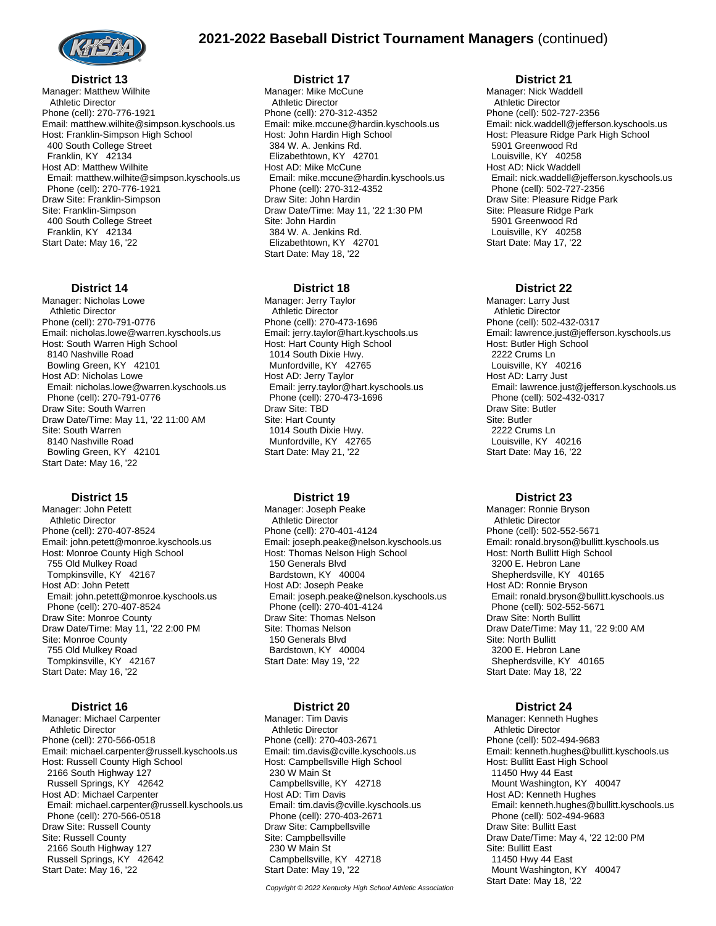

**District 13** Manager: Matthew Wilhite Athletic Director Phone (cell): 270-776-1921 Email: matthew.wilhite@simpson.kyschools.us Host: Franklin-Simpson High School 400 South College Street Franklin, KY 42134 Host AD: Matthew Wilhite Email: matthew.wilhite@simpson.kyschools.us Phone (cell): 270-776-1921 Draw Site: Franklin-Simpson Site: Franklin-Simpson 400 South College Street Franklin, KY 42134 Start Date: May 16, '22

# **District 14**

Manager: Nicholas Lowe Athletic Director Phone (cell): 270-791-0776 Email: nicholas.lowe@warren.kyschools.us Host: South Warren High School 8140 Nashville Road Bowling Green, KY 42101 Host AD: Nicholas Lowe Email: nicholas.lowe@warren.kyschools.us Phone (cell): 270-791-0776 Draw Site: South Warren Draw Date/Time: May 11, '22 11:00 AM Site: South Warren 8140 Nashville Road Bowling Green, KY 42101 Start Date: May 16, '22

# **District 15**

Manager: John Petett Athletic Director Phone (cell): 270-407-8524 Email: john.petett@monroe.kyschools.us Host: Monroe County High School 755 Old Mulkey Road Tompkinsville, KY 42167 Host AD: John Petett Email: john.petett@monroe.kyschools.us Phone (cell): 270-407-8524 Draw Site: Monroe County Draw Date/Time: May 11, '22 2:00 PM Site: Monroe County 755 Old Mulkey Road Tompkinsville, KY 42167 Start Date: May 16, '22

## **District 16**

Manager: Michael Carpenter Athletic Director Phone (cell): 270-566-0518 Email: michael.carpenter@russell.kyschools.us Host: Russell County High School 2166 South Highway 127 Russell Springs, KY 42642 Host AD: Michael Carpenter Email: michael.carpenter@russell.kyschools.us Phone (cell): 270-566-0518 Draw Site: Russell County Site: Russell County 2166 South Highway 127 Russell Springs, KY 42642 Start Date: May 16, '22

#### **District 17**

Manager: Mike McCune Athletic Director Phone (cell): 270-312-4352 Email: mike.mccune@hardin.kyschools.us Host: John Hardin High School 384 W. A. Jenkins Rd. Elizabethtown, KY 42701 Host AD: Mike McCune Email: mike.mccune@hardin.kyschools.us Phone (cell): 270-312-4352 Draw Site: John Hardin Draw Date/Time: May 11, '22 1:30 PM Site: John Hardin 384 W. A. Jenkins Rd. Elizabethtown, KY 42701 Start Date: May 18, '22

## **District 18**

Manager: Jerry Taylor Athletic Director Phone (cell): 270-473-1696 Email: jerry.taylor@hart.kyschools.us Host: Hart County High School 1014 South Dixie Hwy. Munfordville, KY 42765 Host AD: Jerry Taylor Email: jerry.taylor@hart.kyschools.us Phone (cell): 270-473-1696 Draw Site: TBD Site: Hart County 1014 South Dixie Hwy. Munfordville, KY 42765 Start Date: May 21, '22

#### **District 19**

Manager: Joseph Peake Athletic Director Phone (cell): 270-401-4124 Email: joseph.peake@nelson.kyschools.us Host: Thomas Nelson High School 150 Generals Blvd Bardstown, KY 40004 Host AD: Joseph Peake Email: joseph.peake@nelson.kyschools.us Phone (cell): 270-401-4124 Draw Site: Thomas Nelson Site: Thomas Nelson 150 Generals Blvd Bardstown, KY 40004 Start Date: May 19, '22

#### **District 20**

Manager: Tim Davis Athletic Director Phone (cell): 270-403-2671 Email: tim.davis@cville.kyschools.us Host: Campbellsville High School 230 W Main St Campbellsville, KY 42718 Host AD: Tim Davis Email: tim.davis@cville.kyschools.us Phone (cell): 270-403-2671 Draw Site: Campbellsville Site: Campbellsville 230 W Main St Campbellsville, KY 42718 Start Date: May 19, '22

Copyright © 2022 Kentucky High School Athletic Association

#### **District 21**

Manager: Nick Waddell Athletic Director Phone (cell): 502-727-2356 Email: nick.waddell@jefferson.kyschools.us Host: Pleasure Ridge Park High School 5901 Greenwood Rd Louisville, KY 40258 Host AD: Nick Waddell Email: nick.waddell@jefferson.kyschools.us Phone (cell): 502-727-2356 Draw Site: Pleasure Ridge Park Site: Pleasure Ridge Park 5901 Greenwood Rd Louisville, KY 40258 Start Date: May 17, '22

## **District 22**

Manager: Larry Just Athletic Director Phone (cell): 502-432-0317 Email: lawrence.just@jefferson.kyschools.us Host: Butler High School 2222 Crums Ln Louisville, KY 40216 Host AD: Larry Just Email: lawrence.just@jefferson.kyschools.us Phone (cell): 502-432-0317 Draw Site: Butler Site: Butler 2222 Crums Ln Louisville, KY 40216 Start Date: May 16, '22

#### **District 23**

Manager: Ronnie Bryson Athletic Director Phone (cell): 502-552-5671 Email: ronald.bryson@bullitt.kyschools.us Host: North Bullitt High School 3200 E. Hebron Lane Shepherdsville, KY 40165 Host AD: Ronnie Bryson Email: ronald.bryson@bullitt.kyschools.us Phone (cell): 502-552-5671 Draw Site: North Bullitt Draw Date/Time: May 11, '22 9:00 AM Site: North Bullitt 3200 E. Hebron Lane Shepherdsville, KY 40165 Start Date: May 18, '22

#### **District 24**

Manager: Kenneth Hughes Athletic Director Phone (cell): 502-494-9683 Email: kenneth.hughes@bullitt.kyschools.us Host: Bullitt East High School 11450 Hwy 44 East Mount Washington, KY 40047 Host AD: Kenneth Hughes Email: kenneth.hughes@bullitt.kyschools.us Phone (cell): 502-494-9683 Draw Site: Bullitt East Draw Date/Time: May 4, '22 12:00 PM Site: Bullitt East 11450 Hwy 44 East Mount Washington, KY 40047 Start Date: May 18, '22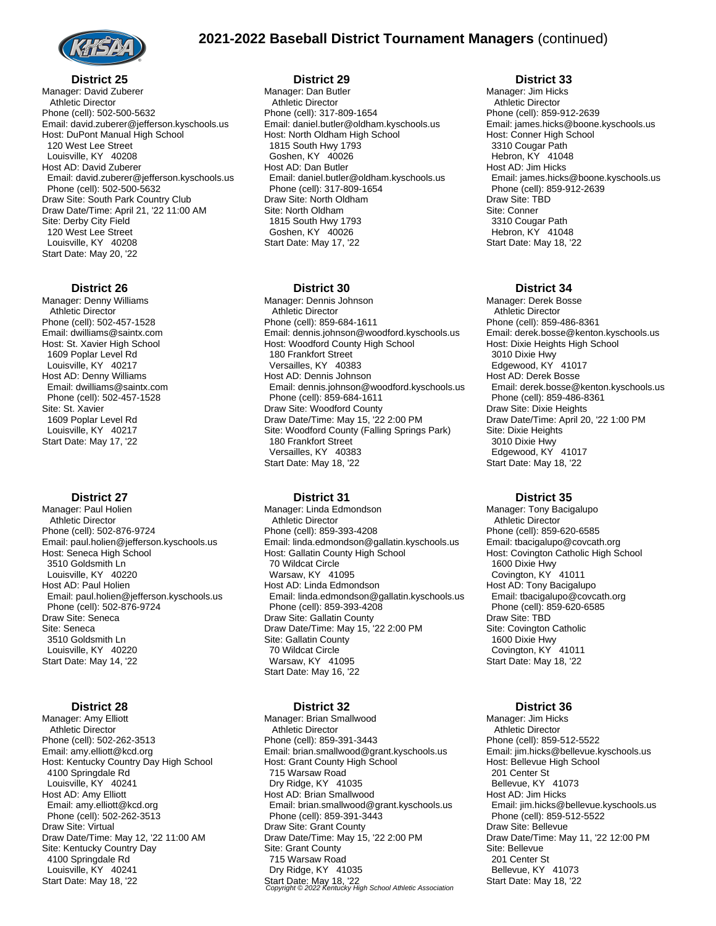

#### **District 25** Manager: David Zuberer Athletic Director Phone (cell): 502-500-5632 Email: david.zuberer@jefferson.kyschools.us Host: DuPont Manual High School 120 West Lee Street Louisville, KY 40208 Host AD: David Zuberer Email: david.zuberer@jefferson.kyschools.us Phone (cell): 502-500-5632 Draw Site: South Park Country Club Draw Date/Time: April 21, '22 11:00 AM Site: Derby City Field 120 West Lee Street Louisville, KY 40208 Start Date: May 20, '22

#### **District 26**

Manager: Denny Williams Athletic Director Phone (cell): 502-457-1528 Email: dwilliams@saintx.com Host: St. Xavier High School 1609 Poplar Level Rd Louisville, KY 40217 Host AD: Denny Williams Email: dwilliams@saintx.com Phone (cell): 502-457-1528 Site: St. Xavier 1609 Poplar Level Rd Louisville, KY 40217 Start Date: May 17, '22

## **District 27**

Manager: Paul Holien Athletic Director Phone (cell): 502-876-9724 Email: paul.holien@jefferson.kyschools.us Host: Seneca High School 3510 Goldsmith Ln Louisville, KY 40220 Host AD: Paul Holien Email: paul.holien@jefferson.kyschools.us Phone (cell): 502-876-9724 Draw Site: Seneca Site: Seneca 3510 Goldsmith Ln Louisville, KY 40220 Start Date: May 14, '22

## **District 28**

Manager: Amy Elliott Athletic Director Phone (cell): 502-262-3513 Email: amy.elliott@kcd.org Host: Kentucky Country Day High School 4100 Springdale Rd Louisville, KY 40241 Host AD: Amy Elliott Email: amy.elliott@kcd.org Phone (cell): 502-262-3513 Draw Site: Virtual Draw Date/Time: May 12, '22 11:00 AM Site: Kentucky Country Day 4100 Springdale Rd Louisville, KY 40241 Start Date: May 18, '22

#### **District 29**

Manager: Dan Butler Athletic Director Phone (cell): 317-809-1654 Email: daniel.butler@oldham.kyschools.us Host: North Oldham High School 1815 South Hwy 1793 Goshen, KY 40026 Host AD: Dan Butler Email: daniel.butler@oldham.kyschools.us Phone (cell): 317-809-1654 Draw Site: North Oldham Site: North Oldham 1815 South Hwy 1793 Goshen, KY 40026 Start Date: May 17, '22

## **District 30**

Manager: Dennis Johnson Athletic Director Phone (cell): 859-684-1611 Email: dennis.johnson@woodford.kyschools.us Host: Woodford County High School 180 Frankfort Street Versailles, KY 40383 Host AD: Dennis Johnson Email: dennis.johnson@woodford.kyschools.us Phone (cell): 859-684-1611 Draw Site: Woodford County Draw Date/Time: May 15, '22 2:00 PM Site: Woodford County (Falling Springs Park) 180 Frankfort Street Versailles, KY 40383 Start Date: May 18, '22

#### **District 31**

Manager: Linda Edmondson Athletic Director Phone (cell): 859-393-4208 Email: linda.edmondson@gallatin.kyschools.us Host: Gallatin County High School 70 Wildcat Circle Warsaw, KY 41095 Host AD: Linda Edmondson Email: linda.edmondson@gallatin.kyschools.us Phone (cell): 859-393-4208 Draw Site: Gallatin County Draw Date/Time: May 15, '22 2:00 PM Site: Gallatin County 70 Wildcat Circle Warsaw, KY 41095 Start Date: May 16, '22

## **District 32**

Manager: Brian Smallwood Athletic Director Phone (cell): 859-391-3443 Email: brian.smallwood@grant.kyschools.us Host: Grant County High School 715 Warsaw Road Dry Ridge, KY 41035 Host AD: Brian Smallwood Email: brian.smallwood@grant.kyschools.us Phone (cell): 859-391-3443 Draw Site: Grant County Draw Date/Time: May 15, '22 2:00 PM Site: Grant County 715 Warsaw Road Dry Ridge, KY 41035 Start Date: May 18, '22 Copyright © 2022 Kentucky High School Athletic Association

#### **District 33**

Manager: Jim Hicks Athletic Director Phone (cell): 859-912-2639 Email: james.hicks@boone.kyschools.us Host: Conner High School 3310 Cougar Path Hebron, KY 41048 Host AD: Jim Hicks Email: james.hicks@boone.kyschools.us Phone (cell): 859-912-2639 Draw Site: TBD Site: Conner 3310 Cougar Path Hebron, KY 41048 Start Date: May 18, '22

## **District 34**

Manager: Derek Bosse Athletic Director Phone (cell): 859-486-8361 Email: derek.bosse@kenton.kyschools.us Host: Dixie Heights High School 3010 Dixie Hwy Edgewood, KY 41017 Host AD: Derek Bosse Email: derek.bosse@kenton.kyschools.us Phone (cell): 859-486-8361 Draw Site: Dixie Heights Draw Date/Time: April 20, '22 1:00 PM Site: Dixie Heights 3010 Dixie Hwy Edgewood, KY 41017 Start Date: May 18, '22

#### **District 35**

Manager: Tony Bacigalupo Athletic Director Phone (cell): 859-620-6585 Email: tbacigalupo@covcath.org Host: Covington Catholic High School 1600 Dixie Hwy Covington, KY 41011 Host AD: Tony Bacigalupo Email: tbacigalupo@covcath.org Phone (cell): 859-620-6585 Draw Site: TBD Site: Covington Catholic 1600 Dixie Hwy Covington, KY 41011 Start Date: May 18, '22

## **District 36**

Manager: Jim Hicks Athletic Director Phone (cell): 859-512-5522 Email: jim.hicks@bellevue.kyschools.us Host: Bellevue High School 201 Center St Bellevue, KY 41073 Host AD: Jim Hicks Email: jim.hicks@bellevue.kyschools.us Phone (cell): 859-512-5522 Draw Site: Bellevue Draw Date/Time: May 11, '22 12:00 PM Site: Bellevue 201 Center St Bellevue, KY 41073 Start Date: May 18, '22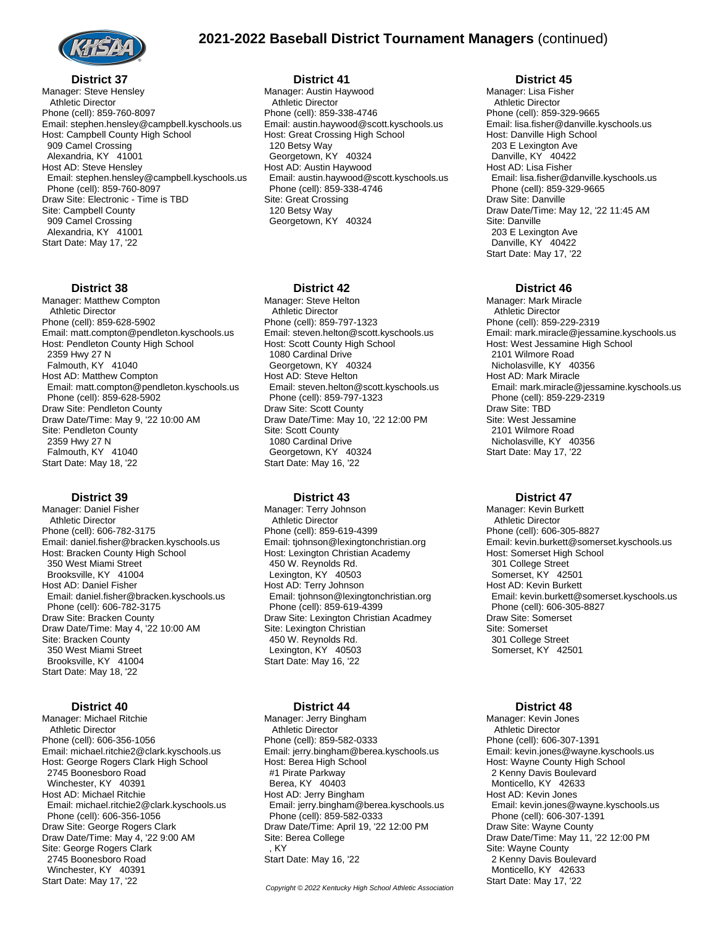

**District 37** Manager: Steve Hensley Athletic Director Phone (cell): 859-760-8097 Email: stephen.hensley@campbell.kyschools.us Host: Campbell County High School 909 Camel Crossing Alexandria, KY 41001 Host AD: Steve Hensley Email: stephen.hensley@campbell.kyschools.us Phone (cell): 859-760-8097 Draw Site: Electronic - Time is TBD Site: Campbell County 909 Camel Crossing Alexandria, KY 41001 Start Date: May 17, '22

# **District 38**

Manager: Matthew Compton Athletic Director Phone (cell): 859-628-5902 Email: matt.compton@pendleton.kyschools.us Host: Pendleton County High School 2359 Hwy 27 N Falmouth, KY 41040 Host AD: Matthew Compton Email: matt.compton@pendleton.kyschools.us Phone (cell): 859-628-5902 Draw Site: Pendleton County Draw Date/Time: May 9, '22 10:00 AM Site: Pendleton County 2359 Hwy 27 N Falmouth, KY 41040 Start Date: May 18, '22

## **District 39**

Manager: Daniel Fisher Athletic Director Phone (cell): 606-782-3175 Email: daniel.fisher@bracken.kyschools.us Host: Bracken County High School 350 West Miami Street Brooksville, KY 41004 Host AD: Daniel Fisher Email: daniel.fisher@bracken.kyschools.us Phone (cell): 606-782-3175 Draw Site: Bracken County Draw Date/Time: May 4, '22 10:00 AM Site: Bracken County 350 West Miami Street Brooksville, KY 41004 Start Date: May 18, '22

## **District 40**

Manager: Michael Ritchie Athletic Director Phone (cell): 606-356-1056 Email: michael.ritchie2@clark.kyschools.us Host: George Rogers Clark High School 2745 Boonesboro Road Winchester, KY 40391 Host AD: Michael Ritchie Email: michael.ritchie2@clark.kyschools.us Phone (cell): 606-356-1056 Draw Site: George Rogers Clark Draw Date/Time: May 4, '22 9:00 AM Site: George Rogers Clark 2745 Boonesboro Road Winchester, KY 40391 Start Date: May 17, '22

#### **District 41**

Manager: Austin Haywood Athletic Director Phone (cell): 859-338-4746 Email: austin.haywood@scott.kyschools.us Host: Great Crossing High School 120 Betsy Way Georgetown, KY 40324 Host AD: Austin Haywood Email: austin.haywood@scott.kyschools.us Phone (cell): 859-338-4746 Site: Great Crossing 120 Betsy Way Georgetown, KY 40324

## **District 42**

Manager: Steve Helton Athletic Director Phone (cell): 859-797-1323 Email: steven.helton@scott.kyschools.us Host: Scott County High School 1080 Cardinal Drive Georgetown, KY 40324 Host AD: Steve Helton Email: steven.helton@scott.kyschools.us Phone (cell): 859-797-1323 Draw Site: Scott County Draw Date/Time: May 10, '22 12:00 PM Site: Scott County 1080 Cardinal Drive Georgetown, KY 40324 Start Date: May 16, '22

#### **District 43**

Manager: Terry Johnson Athletic Director Phone (cell): 859-619-4399 Email: tjohnson@lexingtonchristian.org Host: Lexington Christian Academy 450 W. Reynolds Rd. Lexington, KY 40503 Host AD: Terry Johnson Email: tjohnson@lexingtonchristian.org Phone (cell): 859-619-4399 Draw Site: Lexington Christian Acadmey Site: Lexington Christian 450 W. Reynolds Rd. Lexington, KY 40503 Start Date: May 16, '22

## **District 44**

Manager: Jerry Bingham Athletic Director Phone (cell): 859-582-0333 Email: jerry.bingham@berea.kyschools.us Host: Berea High School #1 Pirate Parkway Berea, KY 40403 Host AD: Jerry Bingham Email: jerry.bingham@berea.kyschools.us Phone (cell): 859-582-0333 Draw Date/Time: April 19, '22 12:00 PM Site: Berea College , KY Start Date: May 16, '22

Copyright © 2022 Kentucky High School Athletic Association

#### **District 45**

Manager: Lisa Fisher Athletic Director Phone (cell): 859-329-9665 Email: lisa.fisher@danville.kyschools.us Host: Danville High School 203 E Lexington Ave Danville, KY 40422 Host AD: Lisa Fisher Email: lisa.fisher@danville.kyschools.us Phone (cell): 859-329-9665 Draw Site: Danville Draw Date/Time: May 12, '22 11:45 AM Site: Danville 203 E Lexington Ave Danville, KY 40422 Start Date: May 17, '22

## **District 46**

Manager: Mark Miracle Athletic Director Phone (cell): 859-229-2319 Email: mark.miracle@jessamine.kyschools.us Host: West Jessamine High School 2101 Wilmore Road Nicholasville, KY 40356 Host AD: Mark Miracle Email: mark.miracle@jessamine.kyschools.us Phone (cell): 859-229-2319 Draw Site: TBD Site: West Jessamine 2101 Wilmore Road Nicholasville, KY 40356 Start Date: May 17, '22

#### **District 47**

Manager: Kevin Burkett Athletic Director Phone (cell): 606-305-8827 Email: kevin.burkett@somerset.kyschools.us Host: Somerset High School 301 College Street Somerset, KY 42501 Host AD: Kevin Burkett Email: kevin.burkett@somerset.kyschools.us Phone (cell): 606-305-8827 Draw Site: Somerset Site: Somerset 301 College Street Somerset, KY 42501

#### **District 48**

Manager: Kevin Jones Athletic Director Phone (cell): 606-307-1391 Email: kevin.jones@wayne.kyschools.us Host: Wayne County High School 2 Kenny Davis Boulevard Monticello, KY 42633 Host AD: Kevin Jones Email: kevin.jones@wayne.kyschools.us Phone (cell): 606-307-1391 Draw Site: Wayne County Draw Date/Time: May 11, '22 12:00 PM Site: Wayne County 2 Kenny Davis Boulevard Monticello, KY 42633 Start Date: May 17, '22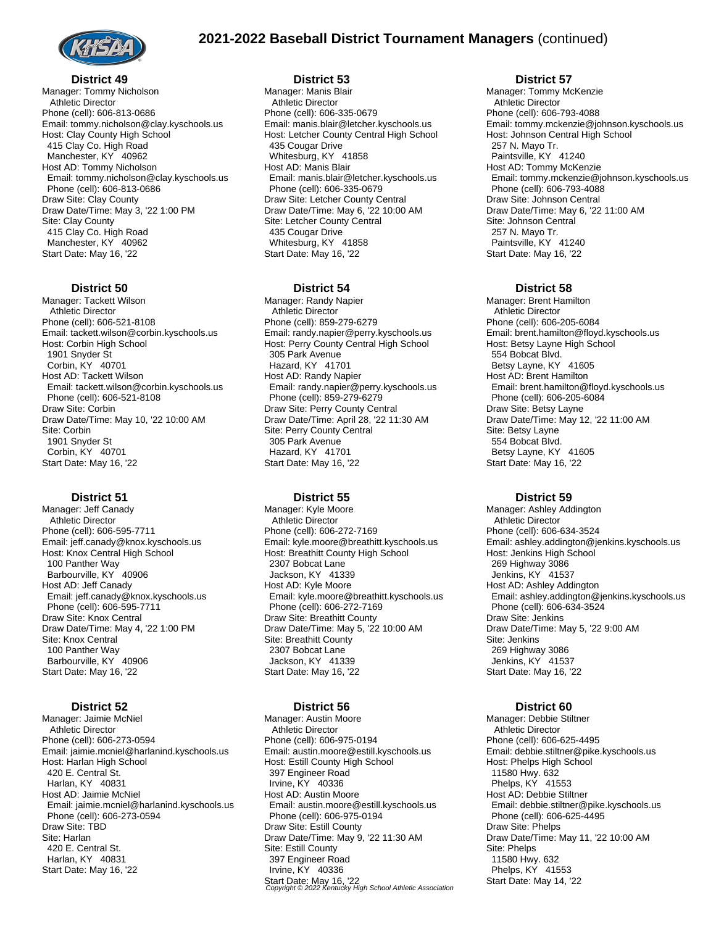

**District 49** Manager: Tommy Nicholson Athletic Director Phone (cell): 606-813-0686 Email: tommy.nicholson@clay.kyschools.us Host: Clay County High School 415 Clay Co. High Road Manchester, KY 40962 Host AD: Tommy Nicholson Email: tommy.nicholson@clay.kyschools.us Phone (cell): 606-813-0686 Draw Site: Clay County Draw Date/Time: May 3, '22 1:00 PM Site: Clay County 415 Clay Co. High Road Manchester, KY 40962 Start Date: May 16, '22

# **District 50**

Manager: Tackett Wilson Athletic Director Phone (cell): 606-521-8108 Email: tackett.wilson@corbin.kyschools.us Host: Corbin High School 1901 Snyder St Corbin, KY 40701 Host AD: Tackett Wilson Email: tackett.wilson@corbin.kyschools.us Phone (cell): 606-521-8108 Draw Site: Corbin Draw Date/Time: May 10, '22 10:00 AM Site: Corbin 1901 Snyder St Corbin, KY 40701 Start Date: May 16, '22

## **District 51**

Manager: Jeff Canady Athletic Director Phone (cell): 606-595-7711 Email: jeff.canady@knox.kyschools.us Host: Knox Central High School 100 Panther Way Barbourville, KY 40906 Host AD: Jeff Canady Email: jeff.canady@knox.kyschools.us Phone (cell): 606-595-7711 Draw Site: Knox Central Draw Date/Time: May 4, '22 1:00 PM Site: Knox Central 100 Panther Way Barbourville, KY 40906 Start Date: May 16, '22

## **District 52**

Manager: Jaimie McNiel Athletic Director Phone (cell): 606-273-0594 Email: jaimie.mcniel@harlanind.kyschools.us Host: Harlan High School 420 E. Central St. Harlan, KY 40831 Host AD: Jaimie McNiel Email: jaimie.mcniel@harlanind.kyschools.us Phone (cell): 606-273-0594 Draw Site: TBD Site: Harlan 420 E. Central St. Harlan, KY 40831 Start Date: May 16, '22

#### **District 53**

Manager: Manis Blair Athletic Director Phone (cell): 606-335-0679 Email: manis.blair@letcher.kyschools.us Host: Letcher County Central High School 435 Cougar Drive Whitesburg, KY 41858 Host AD: Manis Blair Email: manis.blair@letcher.kyschools.us Phone (cell): 606-335-0679 Draw Site: Letcher County Central Draw Date/Time: May 6, '22 10:00 AM Site: Letcher County Central 435 Cougar Drive Whitesburg, KY 41858 Start Date: May 16, '22

#### **District 54**

Manager: Randy Napier Athletic Director Phone (cell): 859-279-6279 Email: randy.napier@perry.kyschools.us Host: Perry County Central High School 305 Park Avenue Hazard, KY 41701 Host AD: Randy Napier Email: randy.napier@perry.kyschools.us Phone (cell): 859-279-6279 Draw Site: Perry County Central Draw Date/Time: April 28, '22 11:30 AM Site: Perry County Central 305 Park Avenue Hazard, KY 41701 Start Date: May 16, '22

#### **District 55**

Manager: Kyle Moore Athletic Director Phone (cell): 606-272-7169 Email: kyle.moore@breathitt.kyschools.us Host: Breathitt County High School 2307 Bobcat Lane Jackson, KY 41339 Host AD: Kyle Moore Email: kyle.moore@breathitt.kyschools.us Phone (cell): 606-272-7169 Draw Site: Breathitt County Draw Date/Time: May 5, '22 10:00 AM Site: Breathitt County 2307 Bobcat Lane Jackson, KY 41339 Start Date: May 16, '22

## **District 56**

Manager: Austin Moore Athletic Director Phone (cell): 606-975-0194 Email: austin.moore@estill.kyschools.us Host: Estill County High School 397 Engineer Road Irvine, KY 40336 Host AD: Austin Moore Email: austin.moore@estill.kyschools.us Phone (cell): 606-975-0194 Draw Site: Estill County Draw Date/Time: May 9, '22 11:30 AM Site: Estill County 397 Engineer Road Irvine, KY 40336 Start Date: May 16, '22 Copyright © 2022 Kentucky High School Athletic Association

#### **District 57**

Manager: Tommy McKenzie Athletic Director Phone (cell): 606-793-4088 Email: tommy.mckenzie@johnson.kyschools.us Host: Johnson Central High School 257 N. Mayo Tr. Paintsville, KY 41240 Host AD: Tommy McKenzie Email: tommy.mckenzie@johnson.kyschools.us Phone (cell): 606-793-4088 Draw Site: Johnson Central Draw Date/Time: May 6, '22 11:00 AM Site: Johnson Central 257 N. Mayo Tr. Paintsville, KY 41240 Start Date: May 16, '22

#### **District 58**

Manager: Brent Hamilton Athletic Director Phone (cell): 606-205-6084 Email: brent.hamilton@floyd.kyschools.us Host: Betsy Layne High School 554 Bobcat Blvd. Betsy Layne, KY 41605 Host AD: Brent Hamilton Email: brent.hamilton@floyd.kyschools.us Phone (cell): 606-205-6084 Draw Site: Betsy Layne Draw Date/Time: May 12, '22 11:00 AM Site: Betsy Layne 554 Bobcat Blvd. Betsy Layne, KY 41605 Start Date: May 16, '22

## **District 59**

Manager: Ashley Addington Athletic Director Phone (cell): 606-634-3524 Email: ashley.addington@jenkins.kyschools.us Host: Jenkins High School 269 Highway 3086 Jenkins, KY 41537 Host AD: Ashley Addington Email: ashley.addington@jenkins.kyschools.us Phone (cell): 606-634-3524 Draw Site: Jenkins Draw Date/Time: May 5, '22 9:00 AM Site: Jenkins 269 Highway 3086 Jenkins, KY 41537 Start Date: May 16, '22

#### **District 60**

Manager: Debbie Stiltner Athletic Director Phone (cell): 606-625-4495 Email: debbie.stiltner@pike.kyschools.us Host: Phelps High School 11580 Hwy. 632 Phelps, KY 41553 Host AD: Debbie Stiltner Email: debbie.stiltner@pike.kyschools.us Phone (cell): 606-625-4495 Draw Site: Phelps Draw Date/Time: May 11, '22 10:00 AM Site: Phelps 11580 Hwy. 632 Phelps, KY 41553 Start Date: May 14, '22